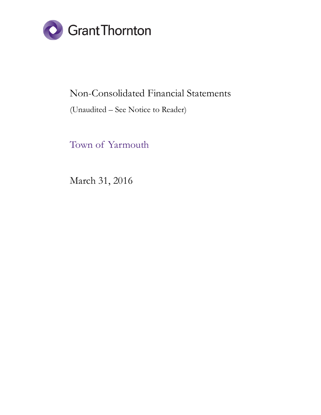

## Non-Consolidated Financial Statements

#### (Unaudited – See Notice to Reader)

Town of Yarmouth

March 31, 2016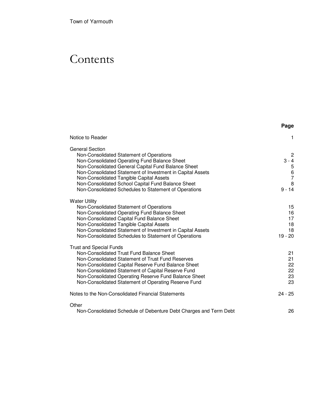# **Contents**

|                                                                                                           | Page         |
|-----------------------------------------------------------------------------------------------------------|--------------|
| Notice to Reader                                                                                          | 1            |
| <b>General Section</b>                                                                                    |              |
| Non-Consolidated Statement of Operations                                                                  | $\mathbf{2}$ |
| Non-Consolidated Operating Fund Balance Sheet                                                             | $3 - 4$      |
| Non-Consolidated General Capital Fund Balance Sheet                                                       |              |
| Non-Consolidated Statement of Investment in Capital Assets<br>Non-Consolidated Tangible Capital Assets    | 5<br>6<br>7  |
| Non-Consolidated School Capital Fund Balance Sheet                                                        | 8            |
| Non-Consolidated Schedules to Statement of Operations                                                     | $9 - 14$     |
| <b>Water Utility</b>                                                                                      |              |
| Non-Consolidated Statement of Operations                                                                  | 15           |
| Non-Consolidated Operating Fund Balance Sheet                                                             | 16           |
| Non-Consolidated Capital Fund Balance Sheet                                                               | 17           |
| Non-Consolidated Tangible Capital Assets<br>Non-Consolidated Statement of Investment in Capital Assets    | 18<br>18     |
| Non-Consolidated Schedules to Statement of Operations                                                     | $19 - 20$    |
| <b>Trust and Special Funds</b>                                                                            |              |
| Non-Consolidated Trust Fund Balance Sheet                                                                 | 21           |
| Non-Consolidated Statement of Trust Fund Reserves                                                         | 21           |
| Non-Consolidated Capital Reserve Fund Balance Sheet<br>Non-Consolidated Statement of Capital Reserve Fund | 22<br>22     |
| Non-Consolidated Operating Reserve Fund Balance Sheet                                                     | 23           |
| Non-Consolidated Statement of Operating Reserve Fund                                                      | 23           |
| Notes to the Non-Consolidated Financial Statements                                                        | $24 - 25$    |
| Other                                                                                                     |              |
| Non-Consolidated Schedule of Debenture Debt Charges and Term Debt                                         | 26           |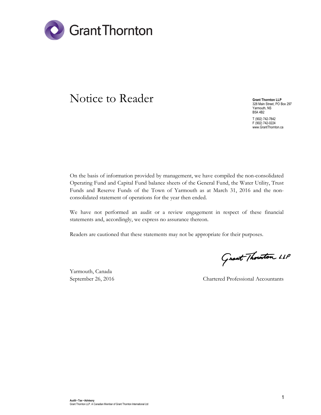

## Notice to Reader

Grant Thornton LLP 328 Main Street, PO Box 297 Yarmouth, NS B5A 4B2

T (902) 742-7842 F (902) 742-0224 www.GrantThornton.ca

On the basis of information provided by management, we have compiled the non-consolidated Operating Fund and Capital Fund balance sheets of the General Fund, the Water Utility, Trust Funds and Reserve Funds of the Town of Yarmouth as at March 31, 2016 and the nonconsolidated statement of operations for the year then ended.

We have not performed an audit or a review engagement in respect of these financial statements and, accordingly, we express no assurance thereon.

Readers are cautioned that these statements may not be appropriate for their purposes.

Yarmouth, Canada

Grant Thouton LLP

September 26, 2016 Chartered Professional Accountants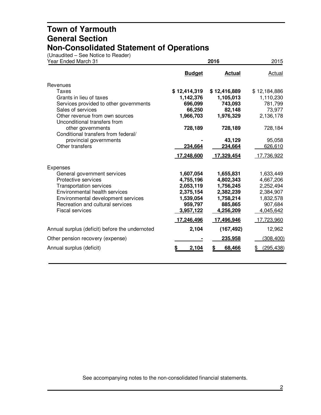(Unaudited – See Notice to Reader)

| Year Ended March 31                                            |               | 2015          |              |
|----------------------------------------------------------------|---------------|---------------|--------------|
|                                                                | <b>Budget</b> | <b>Actual</b> | Actual       |
| Revenues                                                       |               |               |              |
| Taxes                                                          | \$12,414,319  | \$12,416,889  | \$12,184,886 |
| Grants in lieu of taxes                                        | 1,142,376     | 1,105,013     | 1,110,230    |
| Services provided to other governments                         | 696,099       | 743,093       | 781,799      |
| Sales of services                                              | 66,250        | 82,148        | 73,977       |
| Other revenue from own sources<br>Unconditional transfers from | 1,966,703     | 1,976,329     | 2,136,178    |
| other governments<br>Conditional transfers from federal/       | 728,189       | 728,189       | 728,184      |
| provincial governments                                         |               | 43,129        | 95,058       |
| Other transfers                                                | 234,664       | 234,664       | 626,610      |
|                                                                | 17,248,600    | 17,329,454    | 17,736,922   |
| <b>Expenses</b>                                                |               |               |              |
| General government services                                    | 1,607,054     | 1,655,831     | 1,633,449    |
| Protective services                                            | 4,755,196     | 4,802,343     | 4,667,206    |
| <b>Transportation services</b>                                 | 2,053,119     | 1,756,245     | 2,252,494    |
| Environmental health services                                  | 2,375,154     | 2,382,239     | 2,384,907    |
| Environmental development services                             | 1,539,054     | 1,758,214     | 1,832,578    |
| Recreation and cultural services                               | 959,797       | 885,865       | 907,684      |
| <b>Fiscal services</b>                                         | 3,957,122     | 4,256,209     | 4,045,642    |
|                                                                | 17,246,496    | 17,496,946    | 17,723,960   |
| Annual surplus (deficit) before the undernoted                 | 2,104         | (167, 492)    | 12,962       |
| Other pension recovery (expense)                               |               | 235,958       | (308, 400)   |
| Annual surplus (deficit)                                       | 2,104<br>S    | 68,466<br>\$  | (295, 438)   |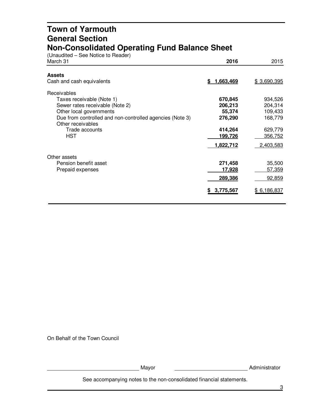#### **Town of Yarmouth General Section Non-Consolidated Operating Fund Balance Sheet**

(Unaudited – See Notice to Reader)

| March 31                                                                                                                                                                                                                | 2016                                                                       | 2015                                                                        |
|-------------------------------------------------------------------------------------------------------------------------------------------------------------------------------------------------------------------------|----------------------------------------------------------------------------|-----------------------------------------------------------------------------|
| <b>Assets</b><br>Cash and cash equivalents                                                                                                                                                                              | 1,663,469<br>S.                                                            | \$3,690,395                                                                 |
| <b>Receivables</b><br>Taxes receivable (Note 1)<br>Sewer rates receivable (Note 2)<br>Other local governments<br>Due from controlled and non-controlled agencies (Note 3)<br>Other receivables<br>Trade accounts<br>HST | 670,845<br>206,213<br>55,374<br>276,290<br>414,264<br>199,726<br>1,822,712 | 934,526<br>204,314<br>109,433<br>168,779<br>629,779<br>356,752<br>2,403,583 |
| Other assets<br>Pension benefit asset<br>Prepaid expenses                                                                                                                                                               | 271,458<br><u> 17,928</u><br>289,386<br>3,775,567<br>S.                    | 35,500<br><u>57,359</u><br>92,859<br>\$6,186,837                            |

On Behalf of the Town Council

Mayor Mayor Mayor Mayor Music Music Music Music Music Music Music Music Music Music Music Music Music Music Music Music Music Music Music Music Music Music Music Music Music Music Music Music Music Music Music Music Music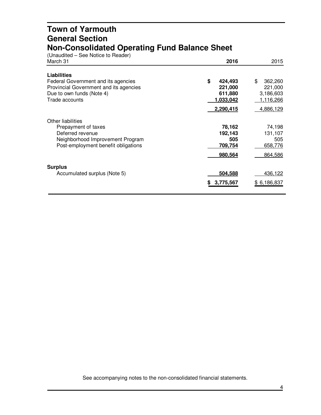#### **Town of Yarmouth General Section Non-Consolidated Operating Fund Balance Sheet**

(Unaudited – See Notice to Reader)

| March 31                                                                                                                                           | 2016                                                          | 2015                                                                   |
|----------------------------------------------------------------------------------------------------------------------------------------------------|---------------------------------------------------------------|------------------------------------------------------------------------|
| <b>Liabilities</b><br>Federal Government and its agencies<br>Provincial Government and its agencies<br>Due to own funds (Note 4)<br>Trade accounts | \$<br>424,493<br>221,000<br>611,880<br>1,033,042<br>2,290,415 | \$<br>362,260<br>221,000<br>3,186,603<br><u>1,116,266</u><br>4,886,129 |
| Other liabilities<br>Prepayment of taxes<br>Deferred revenue<br>Neighborhood Improvement Program<br>Post-employment benefit obligations            | 78,162<br>192,143<br>505<br>709,754<br>980,564                | 74,198<br>131,107<br>505<br>658,776<br>864,586                         |
| <b>Surplus</b><br>Accumulated surplus (Note 5)                                                                                                     | 504,588<br>3,775,567<br>S                                     | 436,122<br>\$6,186,837                                                 |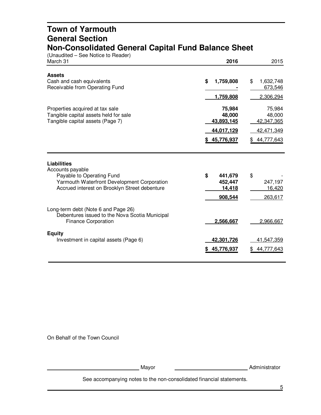#### **Town of Yarmouth General Section Non-Consolidated General Capital Fund Balance Sheet**

(Unaudited – See Notice to Reader)

| March 31                                                                                                                                                            | 2016                                                       | 2015                                                         |
|---------------------------------------------------------------------------------------------------------------------------------------------------------------------|------------------------------------------------------------|--------------------------------------------------------------|
| <b>Assets</b><br>Cash and cash equivalents<br>Receivable from Operating Fund                                                                                        | \$<br>1,759,808<br>1,759,808                               | \$<br>1,632,748<br>673,546<br>2,306,294                      |
| Properties acquired at tax sale<br>Tangible capital assets held for sale<br>Tangible capital assets (Page 7)                                                        | 75,984<br>48,000<br>43,893,145<br>44,017,129<br>45,776,937 | 75,984<br>48,000<br>42,347,365<br>42,471,349<br>\$44,777,643 |
| <b>Liabilities</b><br>Accounts payable<br>Payable to Operating Fund<br>Yarmouth Waterfront Development Corporation<br>Accrued interest on Brooklyn Street debenture | \$<br>441,679<br>452,447<br>14,418<br>908,544              | \$<br>247,197<br>16,420<br>263,617                           |
| Long-term debt (Note 6 and Page 26)<br>Debentures issued to the Nova Scotia Municipal<br><b>Finance Corporation</b>                                                 | 2,566,667                                                  | 2,966,667                                                    |
| <b>Equity</b><br>Investment in capital assets (Page 6)                                                                                                              | 42,301,726<br>45,776,937                                   | 41,547,359<br>44,777,643                                     |

On Behalf of the Town Council

Mayor Mayor Museum Mayor Museum Mayor Mayor Museum Museum Mayor Museum Mayor Museum Museum Museum Museum Museum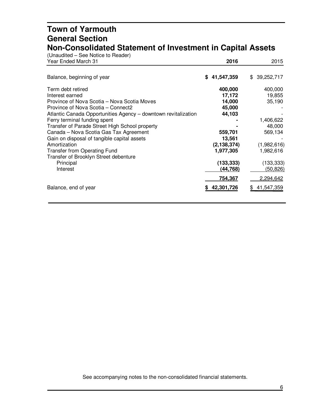### **Town of Yarmouth General Section Non-Consolidated Statement of Investment in Capital Assets**

| (Unaudited – See Notice to Reader)<br>Year Ended March 31      | 2016          | 2015              |
|----------------------------------------------------------------|---------------|-------------------|
|                                                                |               |                   |
| Balance, beginning of year                                     | \$41,547,359  | \$39,252,717      |
| Term debt retired                                              | 400,000       | 400,000           |
| Interest earned                                                | 17,172        | 19,855            |
| Province of Nova Scotia – Nova Scotia Moves                    | 14,000        | 35,190            |
| Province of Nova Scotia – Connect2                             | 45,000        |                   |
| Atlantic Canada Opportunities Agency - downtown revitalization | 44,103        |                   |
| Ferry terminal funding spent                                   |               | 1,406,622         |
| Transfer of Parade Street High School property                 |               | 48,000            |
| Canada - Nova Scotia Gas Tax Agreement                         | 559,701       | 569,134           |
| Gain on disposal of tangible capital assets                    | 13,561        |                   |
| Amortization                                                   | (2, 138, 374) | (1,982,616)       |
| <b>Transfer from Operating Fund</b>                            | 1,977,305     | 1,982,616         |
| Transfer of Brooklyn Street debenture                          |               |                   |
| Principal                                                      | (133, 333)    | (133, 333)        |
| Interest                                                       | (44,768)      | <u>(50,826)</u>   |
|                                                                | 754,367       | 2,294,642         |
| Balance, end of year                                           | 42,301,726    | 41,547,359<br>\$. |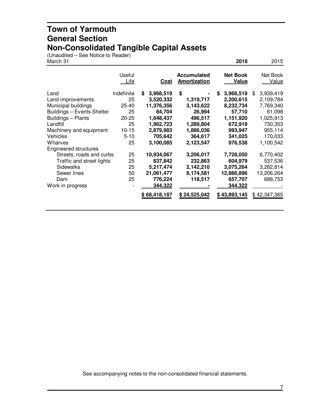#### **Town of Yarmouth General Section Non-Consolidated Tangible Capital Assets**

(Unaudited – See Notice to Reader)

| March 31                                                                                                                                                                  |                                                                               |                                                                                                                     |                                                                                                     | 2016                                                                                                         | 2015                                                                                                           |
|---------------------------------------------------------------------------------------------------------------------------------------------------------------------------|-------------------------------------------------------------------------------|---------------------------------------------------------------------------------------------------------------------|-----------------------------------------------------------------------------------------------------|--------------------------------------------------------------------------------------------------------------|----------------------------------------------------------------------------------------------------------------|
|                                                                                                                                                                           | Useful<br>Life                                                                | <u>Cost</u>                                                                                                         | <b>Accumulated</b><br><b>Amortization</b>                                                           | <b>Net Book</b><br>Value                                                                                     | Net Book<br>Value                                                                                              |
| Land<br>Land improvements<br>Municipal buildings<br>Buildings - Events Shelter<br>Buildings - Plants<br>Landfill<br>Machinery and equipment<br><b>Vehicles</b><br>Wharves | Indefinite<br>25<br>25-40<br>25<br>20-25<br>25<br>$10 - 15$<br>$5 - 10$<br>25 | \$<br>3,968,519<br>3,520,332<br>11,376,356<br>84,704<br>1,648,437<br>1,962,723<br>2,879,983<br>705,642<br>3,100,085 | \$<br>1,319,717<br>3,143,622<br>26,994<br>496,517<br>1,289,804<br>1,886,036<br>364,617<br>2,123,547 | 3,968,519<br>\$<br>2,200,615<br>8,232,734<br>57,710<br>1,151,920<br>672,919<br>993,947<br>341,025<br>976,538 | 3,939,419<br>\$<br>2,109,784<br>7,769,340<br>61,098<br>1,025,913<br>730,353<br>955,114<br>170,033<br>1,100,542 |
| <b>Engineered structures</b><br>Streets, roads and curbs<br>Traffic and street lights<br>Sidewalks<br>Sewer lines<br>Dam<br>Work in progress                              | 25<br>25<br>25<br>50<br>25                                                    | 10,934,067<br>837,842<br>5,217,474<br>21,061,477<br>776,224<br>344,322<br>\$68,418,187                              | 3,206,017<br>232,863<br>2,142,210<br>8,174,581<br>118,517<br>\$24,525,042                           | 7,728,050<br>604,979<br>3,075,264<br>12,886,896<br>657,707<br>344,322<br>\$43,893,145                        | 6,770,402<br>537,536<br>3,282,814<br>13,206,264<br>688,753<br>\$42,347,365                                     |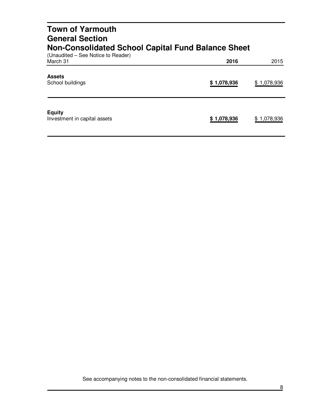| <b>Town of Yarmouth</b><br><b>General Section</b>                                               |             |             |
|-------------------------------------------------------------------------------------------------|-------------|-------------|
| <b>Non-Consolidated School Capital Fund Balance Sheet</b><br>(Unaudited – See Notice to Reader) |             |             |
| March 31                                                                                        | 2016        | 2015        |
| <b>Assets</b><br>School buildings                                                               | \$1,078,936 | \$1,078,936 |
| <b>Equity</b>                                                                                   |             |             |

Investment in capital assets **\$ 1,078,936** \$ 1,078,936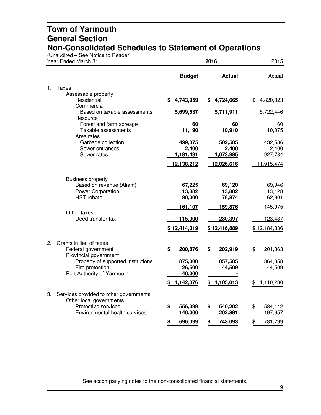(Unaudited – See Notice to Reader)

|    | Year Ended March 31                                                                             |    | 2016                          |    |                               |    |                             |  | 2015 |
|----|-------------------------------------------------------------------------------------------------|----|-------------------------------|----|-------------------------------|----|-----------------------------|--|------|
|    |                                                                                                 |    | <b>Budget</b>                 |    | <b>Actual</b>                 |    | <b>Actual</b>               |  |      |
| 1. | <b>Taxes</b><br>Assessable property<br>Residential                                              | \$ | 4,743,959                     | \$ | 4,724,665                     | \$ | 4,820,023                   |  |      |
|    | Commercial                                                                                      |    |                               |    |                               |    |                             |  |      |
|    | Based on taxable assessments                                                                    |    | 5,699,637                     |    | 5,711,911                     |    | 5,722,446                   |  |      |
|    | Resource<br>Forest and farm acreage<br>Taxable assessments                                      |    | 160<br>11,190                 |    | 160<br>10,910                 |    | 160<br>10,075               |  |      |
|    | Area rates<br>Garbage collection<br>Sewer entrances<br>Sewer rates                              |    | 499,375<br>2,400<br>1,181,491 |    | 502,585<br>2,400<br>1,073,985 |    | 432,586<br>2,400<br>927,784 |  |      |
|    |                                                                                                 |    | 12,138,212                    |    | 12,026,616                    |    | 11,915,474                  |  |      |
|    | <b>Business property</b><br>Based on revenue (Aliant)<br>Power Corporation<br><b>HST</b> rebate |    | 67,225<br>13,882<br>80,000    |    | 69,120<br>13,882<br>76,874    |    | 69,946<br>13,128<br>62,901  |  |      |
|    |                                                                                                 |    | 161,107                       |    | 159,876                       |    | 145,975                     |  |      |
|    | Other taxes<br>Deed transfer tax                                                                |    | 115,000                       |    | 230,397                       |    | 123,437                     |  |      |
|    |                                                                                                 |    | \$12,414,319                  |    | \$12,416,889                  |    | \$12,184,886                |  |      |
| 2. | Grants in lieu of taxes<br>Federal government<br>Provincial government                          | \$ | 200,876                       | \$ | 202,919                       | \$ | 201,363                     |  |      |
|    | Property of supported institutions<br>Fire protection<br>Port Authority of Yarmouth             |    | 875,000<br>26,500<br>40,000   |    | 857,585<br>44,509             |    | 864,358<br>44,509           |  |      |
|    |                                                                                                 |    | 1,142,376                     | \$ | 1,105,013                     | \$ | 1,110,230                   |  |      |
| 3. | Services provided to other governments<br>Other local governments                               |    |                               |    |                               |    |                             |  |      |
|    | Protective services<br>Environmental health services                                            | \$ | 556,099<br>140,000            | \$ | 540,202<br>202,891            | \$ | 584,142<br>197,657          |  |      |
|    |                                                                                                 | \$ | 696,099                       | \$ | 743,093                       | \$ | 781,799                     |  |      |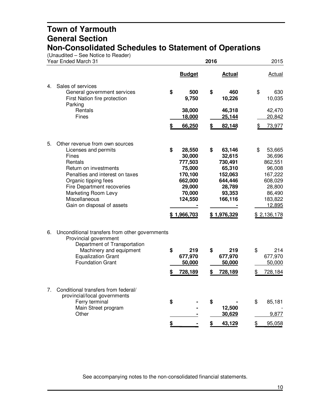(Unaudited – See Notice to Reader)

| <b>Budget</b><br><b>Actual</b>                                                                                                                                                                                                     |                                                                                                                     |
|------------------------------------------------------------------------------------------------------------------------------------------------------------------------------------------------------------------------------------|---------------------------------------------------------------------------------------------------------------------|
|                                                                                                                                                                                                                                    | Actual                                                                                                              |
| 500<br>\$<br>460<br>\$<br>9,750<br>10,226                                                                                                                                                                                          | 630<br>10,035                                                                                                       |
| 38,000<br>46,318<br>18,000<br>25,144                                                                                                                                                                                               | 42,470<br>20,842                                                                                                    |
| 66,250<br>\$<br>82,148                                                                                                                                                                                                             | 73,977                                                                                                              |
| \$<br>63,146<br>\$<br>28,550<br>30,000<br>32,615<br>777,503<br>730,491<br>75,000<br>65,310<br>170,100<br>152,063<br>662,000<br>644,446<br>29,000<br>28,789<br>70,000<br>93,353<br>124,550<br>166,116<br>\$1,966,703<br>\$1,976,329 | 53,665<br>36,696<br>862,551<br>96,008<br>167,222<br>608,029<br>28,800<br>86,490<br>183,822<br>12,895<br>\$2,136,178 |
| 219<br>\$<br>219<br>\$<br>677,970<br>677,970<br>50,000<br>50,000<br>728,189<br>728,189<br>\$<br>\$                                                                                                                                 | 214<br>677,970<br>50,000<br>728,184                                                                                 |
| \$<br>\$<br>12,500<br>30,629                                                                                                                                                                                                       | 85,181<br>9,877<br>95,058                                                                                           |
|                                                                                                                                                                                                                                    | \$<br>\$<br>43,129                                                                                                  |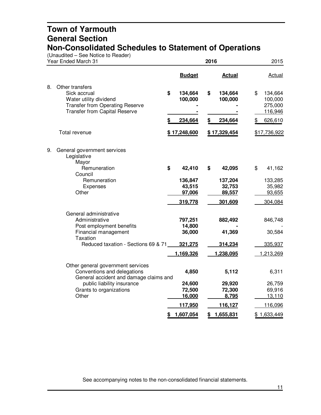(Unaudited – See Notice to Reader)

| Year Ended March 31 |                                                                                                                                             | 2016                        |    |                             |    | 2015                                     |  |
|---------------------|---------------------------------------------------------------------------------------------------------------------------------------------|-----------------------------|----|-----------------------------|----|------------------------------------------|--|
|                     |                                                                                                                                             | <b>Budget</b>               |    | <b>Actual</b>               |    | <b>Actual</b>                            |  |
| 8.                  | Other transfers<br>Sick accrual<br>Water utility dividend<br><b>Transfer from Operating Reserve</b><br><b>Transfer from Capital Reserve</b> | \$<br>134,664<br>100,000    | \$ | 134,664<br>100,000          | \$ | 134,664<br>100,000<br>275,000<br>116,946 |  |
|                     |                                                                                                                                             | \$<br>234,664               | \$ | 234,664                     |    | 626,610                                  |  |
|                     | Total revenue                                                                                                                               | \$17,248,600                |    | \$17,329,454                |    | \$17,736,922                             |  |
| 9.                  | General government services<br>Legislative<br>Mayor                                                                                         |                             |    |                             |    |                                          |  |
|                     | Remuneration<br>Council                                                                                                                     | \$<br>42,410                | \$ | 42,095                      | \$ | 41,162                                   |  |
|                     | Remuneration<br>Expenses<br>Other                                                                                                           | 136,847<br>43,515<br>97,006 |    | 137,204<br>32,753<br>89,557 |    | 133,285<br>35,982<br>93,655              |  |
|                     |                                                                                                                                             | 319,778                     |    | 301,609                     |    | 304,084                                  |  |
|                     | General administrative<br>Administrative<br>Post employment benefits<br>Financial management                                                | 797,251<br>14,800<br>36,000 |    | 882,492<br>41,369           |    | 846,748<br>30,584                        |  |
|                     | <b>Taxation</b><br>Reduced taxation - Sections 69 & 71                                                                                      | 321,275                     |    | 314,234                     |    | 335,937                                  |  |
|                     |                                                                                                                                             | 1,169,326                   |    | 1,238,095                   |    | 1,213,269                                |  |
|                     | Other general government services<br>Conventions and delegations<br>General accident and damage claims and                                  | 4,850                       |    | 5,112                       |    | 6,311                                    |  |
|                     | public liability insurance<br>Grants to organizations<br>Other                                                                              | 24,600<br>72,500<br>16,000  |    | 29,920<br>72,300<br>8,795   |    | 26,759<br>69,916<br>13,110               |  |
|                     |                                                                                                                                             | 117,950                     |    | 116,127                     |    | 116,096                                  |  |
|                     |                                                                                                                                             | \$<br>1,607,054             | \$ | 1,655,831                   |    | \$1,633,449                              |  |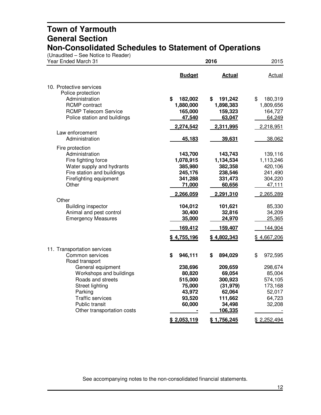(Unaudited – See Notice to Reader)

| Year Ended March 31                          |                   | 2016              |                    |  |  |  |
|----------------------------------------------|-------------------|-------------------|--------------------|--|--|--|
|                                              | <b>Budget</b>     | <b>Actual</b>     | <b>Actual</b>      |  |  |  |
| 10. Protective services                      |                   |                   |                    |  |  |  |
| Police protection                            |                   |                   |                    |  |  |  |
| Administration                               | \$<br>182,002     | \$<br>191,242     | \$<br>180,319      |  |  |  |
| <b>RCMP</b> contract                         | 1,880,000         | 1,898,383         | 1,809,656          |  |  |  |
| <b>RCMP Telecom Service</b>                  | 165,000           | 159,323           | 164,727            |  |  |  |
| Police station and buildings                 | 47,540            | 63,047            | 64,249             |  |  |  |
|                                              | 2,274,542         | 2,311,995         | 2,218,951          |  |  |  |
| Law enforcement<br>Administration            |                   |                   |                    |  |  |  |
|                                              | 45,183            | 39,631            | 38,062             |  |  |  |
| Fire protection                              |                   |                   |                    |  |  |  |
| Administration                               | 143,700           | 143,743           | 139,116            |  |  |  |
| Fire fighting force                          | 1,078,915         | 1,134,534         | 1,113,246          |  |  |  |
| Water supply and hydrants                    | 385,980           | 382,358           | 420,106            |  |  |  |
| Fire station and buildings                   | 245,176           | 238,546           | 241,490            |  |  |  |
| Firefighting equipment<br>Other              | 341,288<br>71,000 | 331,473<br>60,656 | 304,220<br>47,111  |  |  |  |
|                                              |                   |                   |                    |  |  |  |
| Other                                        | 2,266,059         | 2,291,310         | 2,265,289          |  |  |  |
| <b>Building inspector</b>                    | 104,012           | 101,621           | 85,330             |  |  |  |
| Animal and pest control                      | 30,400            | 32,816            | 34,209             |  |  |  |
| <b>Emergency Measures</b>                    | 35,000            | 24,970            | 25,365             |  |  |  |
|                                              | 169,412           | 159,407           | 144,904            |  |  |  |
|                                              | \$4,755,196       | \$4,802,343       | \$4,667,206        |  |  |  |
|                                              |                   |                   |                    |  |  |  |
| 11. Transportation services                  |                   |                   |                    |  |  |  |
| Common services                              | \$<br>946,111     | \$<br>894,029     | \$<br>972,595      |  |  |  |
| Road transport                               |                   |                   |                    |  |  |  |
| General equipment                            | 238,696           | 209,659           | 298,674            |  |  |  |
| Workshops and buildings<br>Roads and streets | 80,820            | 69,054<br>300,923 | 85,004             |  |  |  |
|                                              | 515,000<br>75,000 | (31, 979)         | 574,105<br>173,168 |  |  |  |
| Street lighting<br>Parking                   | 43,972            | 62,064            | 52,017             |  |  |  |
| <b>Traffic services</b>                      | 93,520            | 111,662           | 64,723             |  |  |  |
| Public transit                               | 60,000            | 34,498            | 32,208             |  |  |  |
| Other transportation costs                   |                   | 106,335           |                    |  |  |  |
|                                              | \$2,053,119       | \$1,756,245       | \$2,252,494        |  |  |  |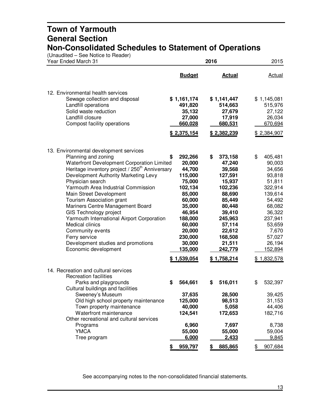(Unaudited – See Notice to Reader)

| Year Ended March 31                                                                                                                                                                                                                                                                                                                                                                                                                                                                                                                                                           |                                                                                                                                                                                        | 2016                                                                                                                                                                                    |                                                                                                                                                                                       |  |
|-------------------------------------------------------------------------------------------------------------------------------------------------------------------------------------------------------------------------------------------------------------------------------------------------------------------------------------------------------------------------------------------------------------------------------------------------------------------------------------------------------------------------------------------------------------------------------|----------------------------------------------------------------------------------------------------------------------------------------------------------------------------------------|-----------------------------------------------------------------------------------------------------------------------------------------------------------------------------------------|---------------------------------------------------------------------------------------------------------------------------------------------------------------------------------------|--|
|                                                                                                                                                                                                                                                                                                                                                                                                                                                                                                                                                                               | <b>Budget</b>                                                                                                                                                                          | <b>Actual</b>                                                                                                                                                                           | Actual                                                                                                                                                                                |  |
| 12. Environmental health services<br>Sewage collection and disposal<br>Landfill operations<br>Solid waste reduction<br>Landfill closure<br>Compost facility operations                                                                                                                                                                                                                                                                                                                                                                                                        | \$1,161,174<br>491,820<br>35,132<br>27,000<br>660,028<br>\$2,375,154                                                                                                                   | \$1,141,447<br>514,663<br>27,679<br>17,919<br>680,531<br>\$2,382,239                                                                                                                    | \$1,145,081<br>515,976<br>27,122<br>26,034<br>670,694<br>\$2,384,907                                                                                                                  |  |
| 13. Environmental development services<br>Planning and zoning<br>Waterfront Development Corporation Limited<br>Heritage inventory project / 250 <sup>th</sup> Anniversary<br>Development Authority Marketing Levy<br>Physician search<br>Yarmouth Area Industrial Commission<br>Main Street Development<br>Tourism Association grant<br>Mariners Centre Management Board<br>GIS Technology project<br>Yarmouth International Airport Corporation<br><b>Medical clinics</b><br>Community events<br>Ferry service<br>Development studies and promotions<br>Economic development | 292,266<br>S<br>20,000<br>44,700<br>115,000<br>75,000<br>102,134<br>85,000<br>60,000<br>35,000<br>46,954<br>188,000<br>60,000<br>20,000<br>230,000<br>30,000<br>135,000<br>\$1,539,054 | \$<br>373,158<br>47,240<br>39,568<br>127,591<br>15,937<br>102,236<br>88,690<br>85,449<br>80,448<br>39,410<br>245,963<br>57,114<br>22,612<br>168,508<br>21,511<br>242,779<br>\$1,758,214 | \$<br>405,481<br>90,003<br>34,656<br>93,818<br>51,811<br>322,914<br>139,614<br>54,492<br>68,082<br>36,322<br>237,941<br>53,659<br>7,670<br>57,027<br>26,194<br>152,894<br>\$1,832,578 |  |
| 14. Recreation and cultural services<br><b>Recreation facilities</b><br>Parks and playgrounds<br>Cultural buildings and facilities<br>Sweeney's Museum<br>Old high school property maintenance<br>Town property maintenance<br>Waterfront maintenance<br>Other recreational and cultural services<br>Programs<br><b>YMCA</b>                                                                                                                                                                                                                                                  | \$<br>564,661<br>37,635<br>125,000<br>40,000<br>124,541<br>6,960<br>55,000                                                                                                             | 516,011<br>\$<br>28,500<br>98,513<br>5,058<br>172,653<br>7,697<br>55,000                                                                                                                | \$<br>532,397<br>39,425<br>31,153<br>44,406<br>182,716<br>8,738<br>59,004                                                                                                             |  |
| Tree program                                                                                                                                                                                                                                                                                                                                                                                                                                                                                                                                                                  | 6,000<br>959,797                                                                                                                                                                       | 2,433<br>885,865                                                                                                                                                                        | 9,845<br>907,684                                                                                                                                                                      |  |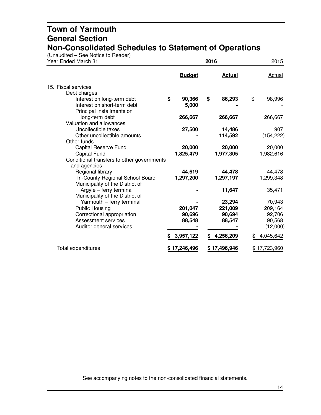(Unaudited – See Notice to Reader)

| Year Ended March 31                        |               | 2016 |               | 2015          |  |
|--------------------------------------------|---------------|------|---------------|---------------|--|
|                                            | <b>Budget</b> |      | <b>Actual</b> | <b>Actual</b> |  |
| 15. Fiscal services                        |               |      |               |               |  |
| Debt charges                               |               |      |               |               |  |
| Interest on long-term debt                 | \$<br>90,366  | \$   | 86,293        | \$<br>98,996  |  |
| Interest on short-term debt                | 5,000         |      |               |               |  |
| Principal installments on                  |               |      |               |               |  |
| long-term debt                             | 266,667       |      | 266,667       | 266,667       |  |
| Valuation and allowances                   |               |      |               |               |  |
| Uncollectible taxes                        | 27,500        |      | 14,486        | 907           |  |
| Other uncollectible amounts                |               |      | 114,592       | (154, 222)    |  |
| Other funds                                |               |      |               |               |  |
| Capital Reserve Fund                       | 20,000        |      | 20,000        | 20,000        |  |
| <b>Capital Fund</b>                        | 1,825,479     |      | 1,977,305     | 1,982,616     |  |
| Conditional transfers to other governments |               |      |               |               |  |
| and agencies                               |               |      |               |               |  |
| Regional library                           | 44,619        |      | 44,478        | 44,478        |  |
| Tri-County Regional School Board           | 1,297,200     |      | 1,297,197     | 1,299,348     |  |
| Municipality of the District of            |               |      |               |               |  |
| Argyle - ferry terminal                    |               |      | 11,647        | 35,471        |  |
| Municipality of the District of            |               |      |               |               |  |
| Yarmouth - ferry terminal                  |               |      | 23,294        | 70,943        |  |
| <b>Public Housing</b>                      | 201,047       |      | 221,009       | 209,164       |  |
| Correctional appropriation                 | 90,696        |      | 90,694        | 92,706        |  |
| Assessment services                        | 88,548        |      | 88,547        | 90,568        |  |
| Auditor general services                   |               |      |               | (12,000)      |  |
|                                            | 3,957,122     | S    | 4,256,209     | 4,045,642     |  |
| Total expenditures                         | \$17,246,496  |      | \$17,496,946  | \$17,723,960  |  |
|                                            |               |      |               |               |  |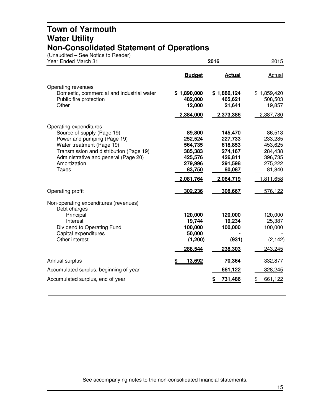#### **Town of Yarmouth Water Utility Non-Consolidated Statement of Operations**

(Unaudited – See Notice to Reader)

| Year Ended March 31                                  | 2016               | 2015               |                    |
|------------------------------------------------------|--------------------|--------------------|--------------------|
|                                                      | <b>Budget</b>      | <b>Actual</b>      | <b>Actual</b>      |
| Operating revenues                                   |                    |                    |                    |
| Domestic, commercial and industrial water            | \$1,890,000        | \$1,886,124        | \$1,859,420        |
| Public fire protection                               | 482,000            | 465,621            | 508,503            |
| Other                                                | 12,000             | 21,641             | 19,857             |
|                                                      | 2,384,000          | 2,373,386          | 2,387,780          |
| Operating expenditures                               |                    |                    |                    |
| Source of supply (Page 19)                           | 89,800             | 145,470            | 86,513             |
| Power and pumping (Page 19)                          | 252,524            | 227,733            | 233,285            |
| Water treatment (Page 19)                            | 564,735            | 618,853            | 453,625            |
| Transmission and distribution (Page 19)              | 385,383            | 274,167            | 284,438            |
| Administrative and general (Page 20)<br>Amortization | 425,576<br>279,996 | 426,811<br>291,598 | 396,735<br>275,222 |
| <b>Taxes</b>                                         | 83,750             | 80,087             | 81,840             |
|                                                      | 2,081,764          | 2,064,719          | 1,811,658          |
| Operating profit                                     | 302,236            | 308,667            | 576,122            |
| Non-operating expenditures (revenues)                |                    |                    |                    |
| Debt charges                                         |                    |                    |                    |
| Principal<br>Interest                                | 120,000<br>19,744  | 120,000<br>19,234  | 120,000<br>25,387  |
| Dividend to Operating Fund                           | 100,000            | 100,000            | 100,000            |
| Capital expenditures                                 | 50,000             |                    |                    |
| Other interest                                       | (1,200)            | (931)              | (2, 142)           |
|                                                      | 288,544            | 238,303            | 243,245            |
| Annual surplus                                       | 13,692             | 70,364             | 332,877            |
| Accumulated surplus, beginning of year               |                    | 661,122            | 328,245            |
| Accumulated surplus, end of year                     |                    | 731,486            | 661,122            |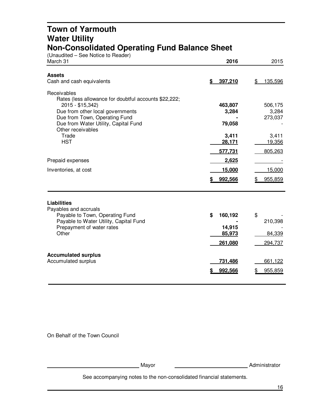#### **Town of Yarmouth Water Utility Non-Consolidated Operating Fund Balance Sheet**

(Unaudited – See Notice to Reader)

| March 31                                                                                                                                                                                                                   | 2016                                         | 2015                               |
|----------------------------------------------------------------------------------------------------------------------------------------------------------------------------------------------------------------------------|----------------------------------------------|------------------------------------|
| <b>Assets</b><br>Cash and cash equivalents                                                                                                                                                                                 | 397,210<br>\$                                | 135,596<br>\$                      |
| Receivables<br>Rates (less allowance for doubtful accounts \$22,222;<br>2015 - \$15,342)<br>Due from other local governments<br>Due from Town, Operating Fund<br>Due from Water Utility, Capital Fund<br>Other receivables | 463,807<br>3,284<br>79,058                   | 506,175<br>3,284<br>273,037        |
| Trade<br><b>HST</b>                                                                                                                                                                                                        | 3,411<br>28,171<br>577,731                   | 3,411<br>19,356<br>805,263         |
| Prepaid expenses                                                                                                                                                                                                           | 2,625                                        |                                    |
| Inventories, at cost                                                                                                                                                                                                       | 15,000                                       | 15,000                             |
|                                                                                                                                                                                                                            | 992,566                                      | 955,859                            |
| <b>Liabilities</b><br>Payables and accruals<br>Payable to Town, Operating Fund<br>Payable to Water Utility, Capital Fund<br>Prepayment of water rates<br>Other                                                             | \$<br>160,192<br>14,915<br>85,973<br>261,080 | \$<br>210,398<br>84,339<br>294,737 |
| <b>Accumulated surplus</b><br>Accumulated surplus                                                                                                                                                                          | 731,486<br>992,566                           | 661,122<br>955,859                 |

On Behalf of the Town Council

Mayor Mayor Mayor Museum Mayor Museum Mayor Museum Mayor Museum Mayor Museum Mayor Museum Mayor Museum Mayor M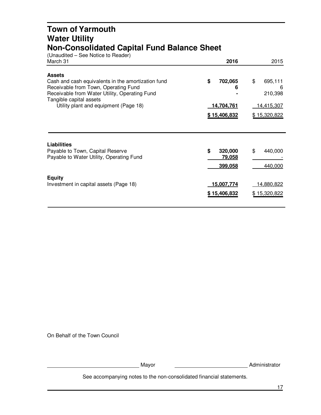#### **Town of Yarmouth Water Utility Non-Consolidated Capital Fund Balance Sheet**

| (Unaudited – See Notice to Reader)<br>March 31                                                                                                                                          | 2016                               | 2015                              |
|-----------------------------------------------------------------------------------------------------------------------------------------------------------------------------------------|------------------------------------|-----------------------------------|
| <b>Assets</b><br>Cash and cash equivalents in the amortization fund<br>Receivable from Town, Operating Fund<br>Receivable from Water Utility, Operating Fund<br>Tangible capital assets | \$<br>702,065<br>6                 | \$<br>695,111<br>6<br>210,398     |
| Utility plant and equipment (Page 18)                                                                                                                                                   | 14,704,761<br>\$15,406,832         | <u>14,415,307</u><br>\$15,320,822 |
| <b>Liabilities</b><br>Payable to Town, Capital Reserve<br>Payable to Water Utility, Operating Fund                                                                                      | \$<br>320,000<br>79,058<br>399,058 | \$<br>440,000<br>440,000          |
| <b>Equity</b><br>Investment in capital assets (Page 18)                                                                                                                                 | 15,007,774<br>\$15,406,832         | <u>14,880,822</u><br>\$15,320,822 |

On Behalf of the Town Council

Mayor Mayor Mayor Mayor Music Music Music Music Music Music Music Music Music Music Music Music Music Music Music Music Music Music Music Music Music Music Music Music Music Music Music Music Music Music Music Music Music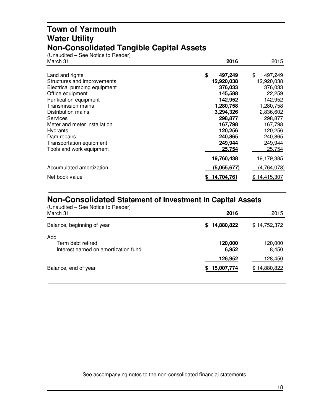#### **Town of Yarmouth Water Utility Non-Consolidated Tangible Capital Assets**

(Unaudited – See Notice to Reader)

| March 31                     | 2016          | 2015          |
|------------------------------|---------------|---------------|
| Land and rights              | \$<br>497,249 | \$<br>497,249 |
| Structures and improvements  | 12,920,038    | 12,920,038    |
| Electrical pumping equipment | 376,033       | 376,033       |
| Office equipment             | 145,588       | 22,259        |
| Purification equipment       | 142,952       | 142,952       |
| <b>Transmission mains</b>    | 1,280,758     | 1,280,758     |
| Distribution mains           | 3,294,326     | 2,836,602     |
| Services                     | 298,877       | 298,877       |
| Meter and meter installation | 167,798       | 167,798       |
| Hydrants                     | 120,256       | 120,256       |
| Dam repairs                  | 240,865       | 240,865       |
| Transportation equipment     | 249,944       | 249,944       |
| Tools and work equipment     | 25,754        | 25,754        |
|                              | 19,760,438    | 19,179,385    |
| Accumulated amortization     | (5,055,677)   | (4,764,078)   |
| Net book value               | 14,704,761    | \$14,415,307  |

#### **Non-Consolidated Statement of Investment in Capital Assets**

| (Unaudited – See Notice to Reader)<br>March 31                   | 2016             | 2015             |
|------------------------------------------------------------------|------------------|------------------|
| Balance, beginning of year                                       | 14,880,822<br>S. | \$14,752,372     |
| Add<br>Term debt retired<br>Interest earned on amortization fund | 120,000<br>6,952 | 120,000<br>8,450 |
|                                                                  | 126,952          | 128,450          |
| Balance, end of year                                             | 15,007,774       | \$14,880,822     |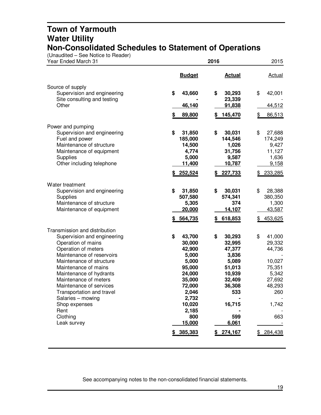#### **Town of Yarmouth Water Utility Non-Consolidated Schedules to Statement of Operations**

(Unaudited – See Notice to Reader)

| Year Ended March 31                                                                                                                                                                                                                                                                                                                                                             | 2016                                                                                                                                                                    | 2015                                                                                                                                                                                                                                                    |
|---------------------------------------------------------------------------------------------------------------------------------------------------------------------------------------------------------------------------------------------------------------------------------------------------------------------------------------------------------------------------------|-------------------------------------------------------------------------------------------------------------------------------------------------------------------------|---------------------------------------------------------------------------------------------------------------------------------------------------------------------------------------------------------------------------------------------------------|
|                                                                                                                                                                                                                                                                                                                                                                                 | <b>Budget</b>                                                                                                                                                           | <b>Actual</b><br><b>Actual</b>                                                                                                                                                                                                                          |
| Source of supply<br>Supervision and engineering<br>Site consulting and testing<br>Other                                                                                                                                                                                                                                                                                         | \$<br>43,660<br>\$<br>46,140<br>\$<br>89,800<br>S                                                                                                                       | 30,293<br>\$<br>42,001<br>23,339<br>91,838<br>44,512<br>145,470<br>86,513<br>\$                                                                                                                                                                         |
| Power and pumping<br>Supervision and engineering<br>Fuel and power<br>Maintenance of structure<br>Maintenance of equipment<br>Supplies<br>Other including telephone                                                                                                                                                                                                             | \$<br>31,850<br>\$<br>185,000<br>14,500<br>4,774<br>5,000<br>11,400<br>252,524                                                                                          | 30,031<br>\$<br>27,688<br>144,546<br>174,249<br>1,026<br>9,427<br>31,756<br>11,127<br>9,587<br>1,636<br>10,787<br>9,158<br>227,733<br>233,285                                                                                                           |
| Water treatment<br>Supervision and engineering<br>Supplies<br>Maintenance of structure<br>Maintenance of equipment                                                                                                                                                                                                                                                              | \$<br>\$<br>31,850<br>507,580<br>5,305<br>20,000<br>564,735                                                                                                             | 30,031<br>\$<br>28,388<br>574,341<br>380,350<br>374<br>1,300<br>14,107<br>43,587<br>\$618,853<br>453,625                                                                                                                                                |
| Transmission and distribution<br>Supervision and engineering<br>Operation of mains<br>Operation of meters<br>Maintenance of reservoirs<br>Maintenance of structure<br>Maintenance of mains<br>Maintenance of hydrants<br>Maintenance of meters<br>Maintenance of services<br>Transportation and travel<br>Salaries - mowing<br>Shop expenses<br>Rent<br>Clothing<br>Leak survey | \$<br>\$<br>43,700<br>30,000<br>42,900<br>5,000<br>5,000<br>95,000<br>24,000<br>35,000<br>72,000<br>2,046<br>2,732<br>10,020<br>2,185<br>800<br>15,000<br>385,383<br>\$ | \$<br>41,000<br>30,293<br>32,995<br>29,332<br>47,377<br>44,736<br>3,836<br>5,089<br>10,027<br>51,013<br>75,351<br>5,342<br>10,939<br>32,409<br>27,692<br>36,308<br>48,293<br>533<br>260<br>16,715<br>1,742<br>599<br>663<br>6,061<br>274,167<br>284,438 |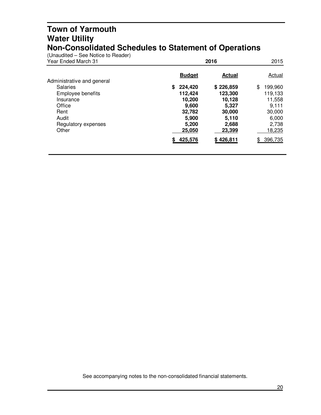#### **Town of Yarmouth Water Utility Non-Consolidated Schedules to Statement of Operations**

(Unaudited – See Notice to Reader)

| Year Ended March 31        |               | 2016          |                |  |
|----------------------------|---------------|---------------|----------------|--|
| Administrative and general | <b>Budget</b> | <b>Actual</b> | <b>Actual</b>  |  |
| <b>Salaries</b>            | 224,420<br>\$ | \$226,859     | \$<br>199,960  |  |
| Employee benefits          | 112,424       | 123,300       | 119,133        |  |
| Insurance                  | 10,200        | 10,128        | 11,558         |  |
| Office                     | 9,600         | 5,327         | 9,111          |  |
| Rent                       | 32,782        | 30,000        | 30,000         |  |
| Audit                      | 5,900         | 5,110         | 6,000          |  |
| Regulatory expenses        | 5,200         | 2,688         | 2,738          |  |
| Other                      | 25,050        | 23,399        | 18,235         |  |
|                            | 425,576       | \$426,811     | 396,735<br>\$. |  |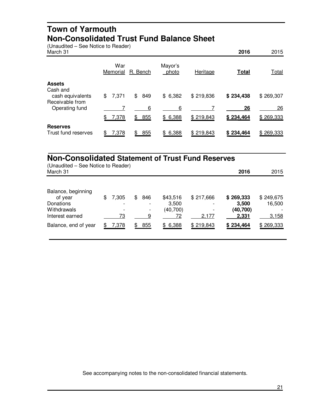#### **Town of Yarmouth Non-Consolidated Trust Fund Balance Sheet**

(Unaudited – See Notice to Reader)

| March 31                                        |                 |           |                  |           | 2016         | 2015         |
|-------------------------------------------------|-----------------|-----------|------------------|-----------|--------------|--------------|
|                                                 | War<br>Memorial | R. Bench  | Mayor's<br>photo | Heritage  | <b>Total</b> | <b>Total</b> |
| <b>Assets</b>                                   |                 |           |                  |           |              |              |
| Cash and<br>cash equivalents<br>Receivable from | 7,371<br>\$     | \$<br>849 | \$6,382          | \$219,836 | \$234,438    | \$269,307    |
| Operating fund                                  |                 | 6         | 6                |           | 26           | 26           |
|                                                 | \$<br>7,378     | 855<br>\$ | \$6,388          | \$219,843 | \$234,464    | \$269,333    |
| <b>Reserves</b><br>Trust fund reserves          | 7,378<br>\$     | 855<br>\$ | 6,388<br>\$      | \$219,843 | \$234,464    | \$269,333    |

## **Non-Consolidated Statement of Trust Fund Reserves**

| (Unaudited – See Notice to Reader)<br>March 31                               |                   |                          |                                      |                                                | 2016                                    | 2015                         |
|------------------------------------------------------------------------------|-------------------|--------------------------|--------------------------------------|------------------------------------------------|-----------------------------------------|------------------------------|
| Balance, beginning<br>of year<br>Donations<br>Withdrawals<br>Interest earned | \$<br>7,305<br>73 | \$<br>846<br>-<br>-<br>9 | \$43,516<br>3,500<br>(40, 700)<br>72 | \$217,666<br>$\overline{\phantom{a}}$<br>2,177 | \$269,333<br>3,500<br>(40,700)<br>2,331 | \$249,675<br>16,500<br>3,158 |
| Balance, end of year                                                         | 7,378             | \$<br>855                | \$6,388                              | \$219,843                                      | \$234,464                               | \$269,333                    |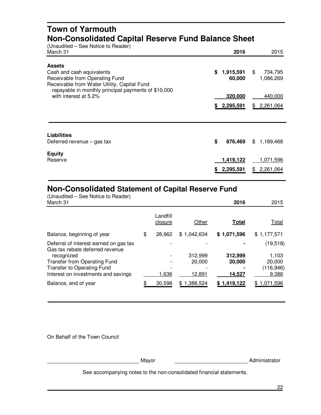#### **Town of Yarmouth Non-Consolidated Capital Reserve Fund Balance Sheet**

| (Unaudited – See Notice to Reader)<br>March 31                                                                              | 2016                                | 2015                         |
|-----------------------------------------------------------------------------------------------------------------------------|-------------------------------------|------------------------------|
| <b>Assets</b><br>Cash and cash equivalents<br>Receivable from Operating Fund<br>Receivable from Water Utility, Capital Fund | \$1,915,591<br>60,000               | \$<br>734,795<br>1,086,269   |
| repayable in monthly principal payments of \$10,000<br>with interest at 5.2%                                                | 320,000<br>\$2,295,591              | 440,000<br>2,261,064<br>\$   |
| <b>Liabilities</b><br>Deferred revenue $-$ gas tax                                                                          | \$<br>876,469                       | 1,189,468<br>\$.             |
| <b>Equity</b><br>Reserve                                                                                                    | <u>1,419,122</u><br>2,295,591<br>\$ | 1,071,596<br>2,261,064<br>\$ |

## **Non-Consolidated Statement of Capital Reserve Fund**

| (Unaudited - See Notice to Reader)<br>March 31                            |                     |             | 2016         | 2015             |
|---------------------------------------------------------------------------|---------------------|-------------|--------------|------------------|
|                                                                           | Landfill<br>closure | Other       | <b>Total</b> | Total            |
| Balance, beginning of year                                                | \$<br>28,962        | \$1,042,634 | \$1,071,596  | \$1,177,571      |
| Deferral of interest earned on gas tax<br>Gas tax rebate deferred revenue |                     |             |              | (19, 518)        |
| recognized                                                                |                     | 312,999     | 312,999      | 1,103            |
| Transfer from Operating Fund                                              |                     | 20,000      | 20,000       | 20,000           |
| <b>Transfer to Operating Fund</b>                                         |                     |             |              | (116, 946)       |
| Interest on investments and savings                                       | 1,636               | 12,891      | 14,527       | 9,386            |
| Balance, end of year                                                      | 30,598              | \$1,388,524 | \$1,419,122  | 1,071,596<br>\$. |

On Behalf of the Town Council

Mayor Mayor Mayor Mayor Music Music Music Music Music Music Music Music Music Music Music Music Music Music Music Music Music Music Music Music Music Music Music Music Music Music Music Music Music Music Music Music Music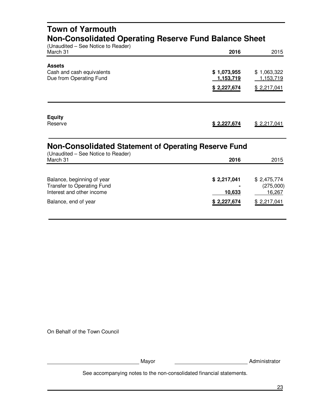| <b>Town of Yarmouth</b><br>Non-Consolidated Operating Reserve Fund Balance Sheet<br>(Unaudited - See Notice to Reader) |                                                |                                                   |  |  |  |
|------------------------------------------------------------------------------------------------------------------------|------------------------------------------------|---------------------------------------------------|--|--|--|
| March 31                                                                                                               | 2016                                           | 2015                                              |  |  |  |
| <b>Assets</b><br>Cash and cash equivalents<br>Due from Operating Fund                                                  | \$1,073,955<br><u>1,153,719</u><br>\$2,227,674 | \$1,063,322<br><u>1,153,719</u><br>\$2,217,041    |  |  |  |
| <b>Equity</b><br>Reserve                                                                                               | \$2,227,674                                    | \$2,217,041                                       |  |  |  |
| <b>Non-Consolidated Statement of Operating Reserve Fund</b>                                                            |                                                |                                                   |  |  |  |
| (Unaudited – See Notice to Reader)<br>March 31                                                                         | 2016                                           | 2015                                              |  |  |  |
| Balance, beginning of year<br><b>Transfer to Operating Fund</b><br>Interest and other income<br>Balance, end of year   | \$2,217,041<br>10,633<br>\$2,227,674           | \$2,475,774<br>(275,000)<br>16,267<br>\$2,217,041 |  |  |  |

On Behalf of the Town Council

Mayor Administrator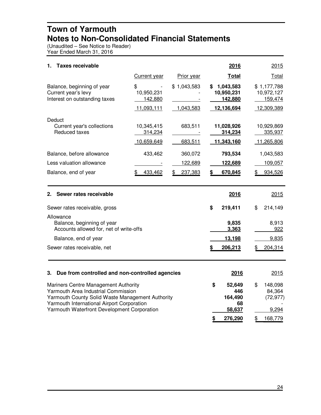#### **Town of Yarmouth Notes to Non-Consolidated Financial Statements**

(Unaudited – See Notice to Reader) Year Ended March 31, 2016

| 1.<br><b>Taxes receivable</b>                                                                                                                                                                                                |                                           |                          | 2016                                                   | 2015                                               |
|------------------------------------------------------------------------------------------------------------------------------------------------------------------------------------------------------------------------------|-------------------------------------------|--------------------------|--------------------------------------------------------|----------------------------------------------------|
|                                                                                                                                                                                                                              | <b>Current year</b>                       | <b>Prior year</b>        | <b>Total</b>                                           | Total                                              |
| Balance, beginning of year<br>Current year's levy<br>Interest on outstanding taxes                                                                                                                                           | \$<br>10,950,231<br>142,880<br>11,093,111 | \$1,043,583<br>1,043,583 | 1,043,583<br>S.<br>10,950,231<br>142,880<br>12,136,694 | \$1,177,788<br>10,972,127<br>159,474<br>12,309,389 |
| Deduct<br>Current year's collections<br>Reduced taxes                                                                                                                                                                        | 10,345,415<br>314,234<br>10,659,649       | 683,511<br>683,511       | 11,028,926<br>314,234<br>11,343,160                    | 10,929,869<br>335,937<br>11,265,806                |
| Balance, before allowance                                                                                                                                                                                                    | 433,462                                   | 360,072                  | 793,534                                                | 1,043,583                                          |
| Less valuation allowance                                                                                                                                                                                                     |                                           | 122,689                  | 122,689                                                | 109,057                                            |
| Balance, end of year                                                                                                                                                                                                         | 433,462<br>SБ                             | 237,383                  | 670,845                                                | 934,526                                            |
| Sewer rates receivable<br>2.                                                                                                                                                                                                 |                                           |                          | 2016                                                   | 2015                                               |
| Sewer rates receivable, gross                                                                                                                                                                                                |                                           |                          | \$<br>219,411                                          | \$<br>214,149                                      |
| Allowance<br>Balance, beginning of year<br>Accounts allowed for, net of write-offs<br>Balance, end of year                                                                                                                   |                                           |                          | 9,835<br>3,363<br>13,198                               | 8,913<br>922<br>9,835                              |
| Sewer rates receivable, net                                                                                                                                                                                                  |                                           |                          | 206,213<br>\$                                          | 204,314                                            |
| Due from controlled and non-controlled agencies<br>3.                                                                                                                                                                        |                                           |                          | 2016                                                   | 2015                                               |
| Mariners Centre Management Authority<br>Yarmouth Area Industrial Commission<br>Yarmouth County Solid Waste Management Authority<br>Yarmouth International Airport Corporation<br>Yarmouth Waterfront Development Corporation |                                           |                          | \$<br>52,649<br>446<br>164,490<br>68<br>58,637         | \$<br>148,098<br>84,364<br>(72, 977)<br>9,294      |

**\$ 276,290** \$ 168,779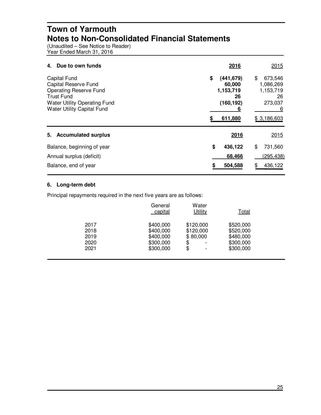#### **Town of Yarmouth Notes to Non-Consolidated Financial Statements**

(Unaudited – See Notice to Reader) Year Ended March 31, 2016

| Due to own funds<br>4.                                                                                                                                                        | 2016                                                                        | 2015                                                                         |
|-------------------------------------------------------------------------------------------------------------------------------------------------------------------------------|-----------------------------------------------------------------------------|------------------------------------------------------------------------------|
| <b>Capital Fund</b><br>Capital Reserve Fund<br><b>Operating Reserve Fund</b><br><b>Trust Fund</b><br><b>Water Utility Operating Fund</b><br><b>Water Utility Capital Fund</b> | \$<br>(441, 679)<br>60,000<br>1,153,719<br>26<br>(160, 192)<br>6<br>611,880 | \$<br>673,546<br>1,086,269<br>1,153,719<br>26<br>273,037<br>6<br>\$3,186,603 |
| <b>Accumulated surplus</b><br>5.                                                                                                                                              | 2016                                                                        | 2015                                                                         |
| Balance, beginning of year                                                                                                                                                    | \$<br>436,122                                                               | \$<br>731,560                                                                |
| Annual surplus (deficit)                                                                                                                                                      | 68,466                                                                      | (295,438)                                                                    |
| Balance, end of year                                                                                                                                                          | 504,588                                                                     | 436,122                                                                      |

#### **6. Long-term debt**

Principal repayments required in the next five years are as follows:

|      | General<br>capital | Water<br>Utility               | Total     |  |
|------|--------------------|--------------------------------|-----------|--|
| 2017 | \$400,000          | \$120,000                      | \$520,000 |  |
| 2018 | \$400,000          | \$120,000                      | \$520,000 |  |
| 2019 | \$400,000          | \$80,000                       | \$480,000 |  |
| 2020 | \$300,000          | \$<br>$\overline{\phantom{a}}$ | \$300,000 |  |
| 2021 | \$300,000          | \$<br>$\overline{\phantom{a}}$ | \$300,000 |  |
|      |                    |                                |           |  |